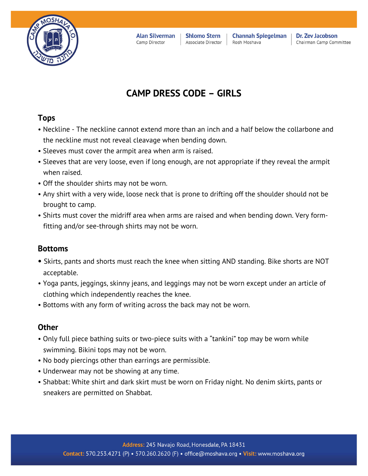

**Alan Silverman** Camp Director

**Shlomo Stern** Associate Director

**Channah Spiegelman** Rosh Moshava

Dr. Zev Jacobson Chairman Camp Committee

# **CAMP DRESS CODE – GIRLS**

## **Tops**

- Neckline The neckline cannot extend more than an inch and a half below the collarbone and the neckline must not reveal cleavage when bending down.
- Sleeves must cover the armpit area when arm is raised.
- Sleeves that are very loose, even if long enough, are not appropriate if they reveal the armpit when raised.
- Off the shoulder shirts may not be worn.
- Any shirt with a very wide, loose neck that is prone to drifting off the shoulder should not be brought to camp.
- Shirts must cover the midriff area when arms are raised and when bending down. Very formfitting and/or see-through shirts may not be worn.

### **Bottoms**

- Skirts, pants and shorts must reach the knee when sitting AND standing. Bike shorts are NOT acceptable.
- Yoga pants, jeggings, skinny jeans, and leggings may not be worn except under an article of clothing which independently reaches the knee.
- Bottoms with any form of writing across the back may not be worn.

### **Other**

- Only full piece bathing suits or two-piece suits with a "tankini" top may be worn while swimming. Bikini tops may not be worn.
- No body piercings other than earrings are permissible.
- Underwear may not be showing at any time.
- Shabbat: White shirt and dark skirt must be worn on Friday night. No denim skirts, pants or sneakers are permitted on Shabbat.